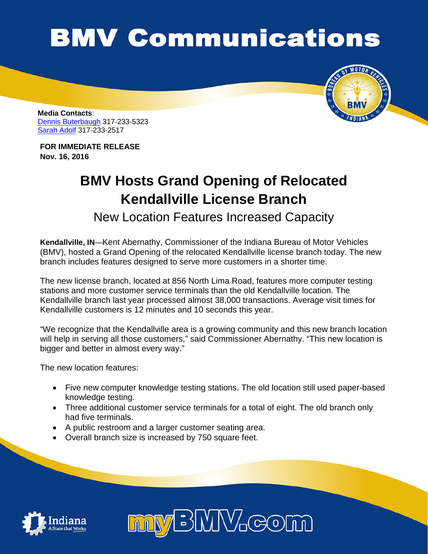## **BMV Communications**



**Media Contacts**: [Dennis Buterbaugh](mailto:dbuterbaugh@bmv.in.gov) 317-233-5323 [Sarah Adolf](mailto:saadolf@bmv.in.gov) 317-233-2517

**FOR IMMEDIATE RELEASE Nov. 16, 2016**

## **BMV Hosts Grand Opening of Relocated Kendallville License Branch**

New Location Features Increased Capacity

**Kendallville, IN**—Kent Abernathy, Commissioner of the Indiana Bureau of Motor Vehicles (BMV), hosted a Grand Opening of the relocated Kendallville license branch today. The new branch includes features designed to serve more customers in a shorter time.

The new license branch, located at 856 North Lima Road, features more computer testing stations and more customer service terminals than the old Kendallville location. The Kendallville branch last year processed almost 38,000 transactions. Average visit times for Kendallville customers is 12 minutes and 10 seconds this year.

"We recognize that the Kendallville area is a growing community and this new branch location will help in serving all those customers," said Commissioner Abernathy. "This new location is bigger and better in almost every way."

The new location features:

- Five new computer knowledge testing stations. The old location still used paper-based knowledge testing.
- Three additional customer service terminals for a total of eight. The old branch only had five terminals.
- A public restroom and a larger customer seating area.
- Overall branch size is increased by 750 square feet.